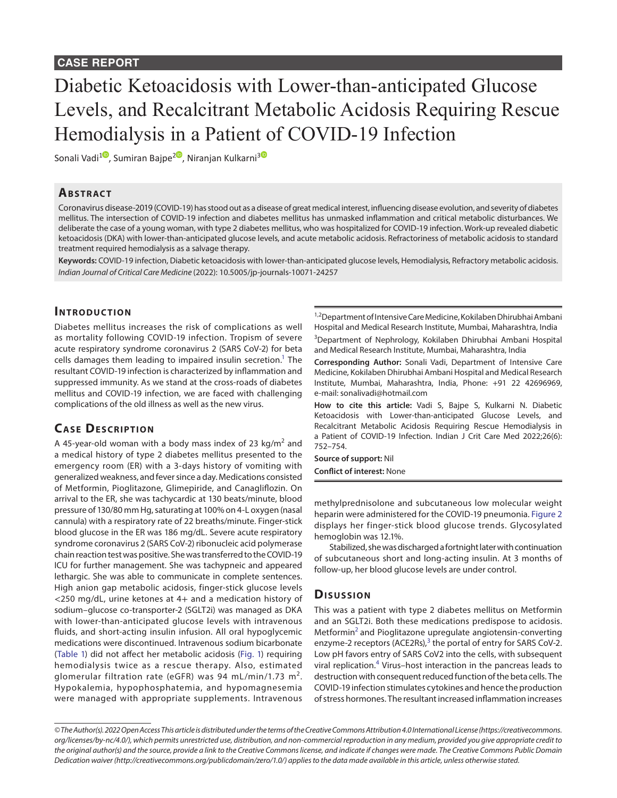### **CASE REPORT**

# Diabetic Ketoacidosis with Lower-than-anticipated Glucose Levels, and Recalcitrant Metabolic Acidosis Requiring Rescue Hemodialysis in a Patient of COVID-19 Infection

Sonali Vadi<sup>[1](https://orcid.org/0000-0002-7341-2407)0</sup>, Sumiran Bajpe<sup>[2](https://orcid.org/0000-0001-6315-8436)0</sup>, Niranjan Kulkarni<sup>[3](https://orcid.org/0000-0002-9042-4629)0</sup>

#### **ABSTRACT**

Coronavirus disease-2019 (COVID-19) has stood out as a disease of great medical interest, influencing disease evolution, and severity of diabetes mellitus. The intersection of COVID-19 infection and diabetes mellitus has unmasked inflammation and critical metabolic disturbances. We deliberate the case of a young woman, with type 2 diabetes mellitus, who was hospitalized for COVID-19 infection. Work-up revealed diabetic ketoacidosis (DKA) with lower-than-anticipated glucose levels, and acute metabolic acidosis. Refractoriness of metabolic acidosis to standard treatment required hemodialysis as a salvage therapy.

**Keywords:** COVID-19 infection, Diabetic ketoacidosis with lower-than-anticipated glucose levels, Hemodialysis, Refractory metabolic acidosis. *Indian Journal of Critical Care Medicine* (2022): 10.5005/jp-journals-10071-24257

#### **INTRODUCTION**

Diabetes mellitus increases the risk of complications as well as mortality following COVID-19 infection. Tropism of severe acute respiratory syndrome coronavirus 2 (SARS CoV-2) for beta cells damages them leading to impaired insulin secretion.<sup>1</sup> The resultant COVID-19 infection is characterized by inflammation and suppressed immunity. As we stand at the cross-roads of diabetes mellitus and COVID-19 infection, we are faced with challenging complications of the old illness as well as the new virus.

#### **CASE DESCRIPTION**

A 45-year-old woman with a body mass index of 23 kg/m<sup>2</sup> and a medical history of type 2 diabetes mellitus presented to the emergency room (ER) with a 3-days history of vomiting with generalized weakness, and fever since a day. Medications consisted of Metformin, Pioglitazone, Glimepiride, and Canagliflozin. On arrival to the ER, she was tachycardic at 130 beats/minute, blood pressure of 130/80 mm Hg, saturating at 100% on 4-L oxygen (nasal cannula) with a respiratory rate of 22 breaths/minute. Finger-stick blood glucose in the ER was 186 mg/dL. Severe acute respiratory syndrome coronavirus 2 (SARS CoV-2) ribonucleic acid polymerase chain reaction test was positive. She was transferred to the COVID-19 ICU for further management. She was tachypneic and appeared lethargic. She was able to communicate in complete sentences. High anion gap metabolic acidosis, finger-stick glucose levels <250 mg/dL, urine ketones at 4+ and a medication history of sodium–glucose co-transporter-2 (SGLT2i) was managed as DKA with lower-than-anticipated glucose levels with intravenous fluids, and short-acting insulin infusion. All oral hypoglycemic medications were discontinued. Intravenous sodium bicarbonate ([Table 1](#page-1-0)) did not affect her metabolic acidosis (Fig. 1) requiring hemodialysis twice as a rescue therapy. Also, estimated glomerular filtration rate (eGFR) was 94 mL/min/1.73 m<sup>2</sup>. Hypokalemia, hypophosphatemia, and hypomagnesemia were managed with appropriate supplements. Intravenous

<sup>1,2</sup>Department of Intensive Care Medicine, Kokilaben Dhirubhai Ambani Hospital and Medical Research Institute, Mumbai, Maharashtra, India 3 Department of Nephrology, Kokilaben Dhirubhai Ambani Hospital and Medical Research Institute, Mumbai, Maharashtra, India

**Corresponding Author:** Sonali Vadi, Department of Intensive Care Medicine, Kokilaben Dhirubhai Ambani Hospital and Medical Research Institute, Mumbai, Maharashtra, India, Phone: +91 22 42696969, e-mail: sonalivadi@hotmail.com

**How to cite this article:** Vadi S, Bajpe S, Kulkarni N. Diabetic Ketoacidosis with Lower-than-anticipated Glucose Levels, and Recalcitrant Metabolic Acidosis Requiring Rescue Hemodialysis in a Patient of COVID-19 Infection. Indian J Crit Care Med 2022;26(6): 752–754.

**Source of support:** Nil **Conflict of interest:** None

methylprednisolone and subcutaneous low molecular weight heparin were administered for the COVID-19 pneumonia. [Figure 2](#page-1-1) displays her finger-stick blood glucose trends. Glycosylated hemoglobin was 12.1%.

Stabilized, she was discharged a fortnight later with continuation of subcutaneous short and long-acting insulin. At 3 months of follow-up, her blood glucose levels are under control.

#### **Dis u s sio n**

This was a patient with type 2 diabetes mellitus on Metformin and an SGLT2i. Both these medications predispose to acidosis. Metformin<sup>2</sup> and Pioglitazone upregulate angiotensin-converting enzyme-2 receptors (ACE2Rs),<sup>[3](#page-2-2)</sup> the portal of entry for SARS CoV-2. Low pH favors entry of SARS CoV2 into the cells, with subsequent viral replication.<sup>[4](#page-2-3)</sup> Virus-host interaction in the pancreas leads to destruction with consequent reduced function of the beta cells. The COVID-19 infection stimulates cytokines and hence the production of stress hormones. The resultant increased inflammation increases

*<sup>©</sup> The Author(s). 2022 Open Access This article is distributed under the terms of the Creative Commons Attribution 4.0 International License ([https://creativecommons.](https://creativecommons.org/licenses/by-nc/4.0/) [org/licenses/by-nc/4.0/](https://creativecommons.org/licenses/by-nc/4.0/)), which permits unrestricted use, distribution, and non-commercial reproduction in any medium, provided you give appropriate credit to the original author(s) and the source, provide a link to the Creative Commons license, and indicate if changes were made. The Creative Commons Public Domain Dedication waiver ([http://creativecommons.org/publicdomain/zero/1.0/\)](http://creativecommons.org/publicdomain/zero/1.0/) applies to the data made available in this article, unless otherwise stated.*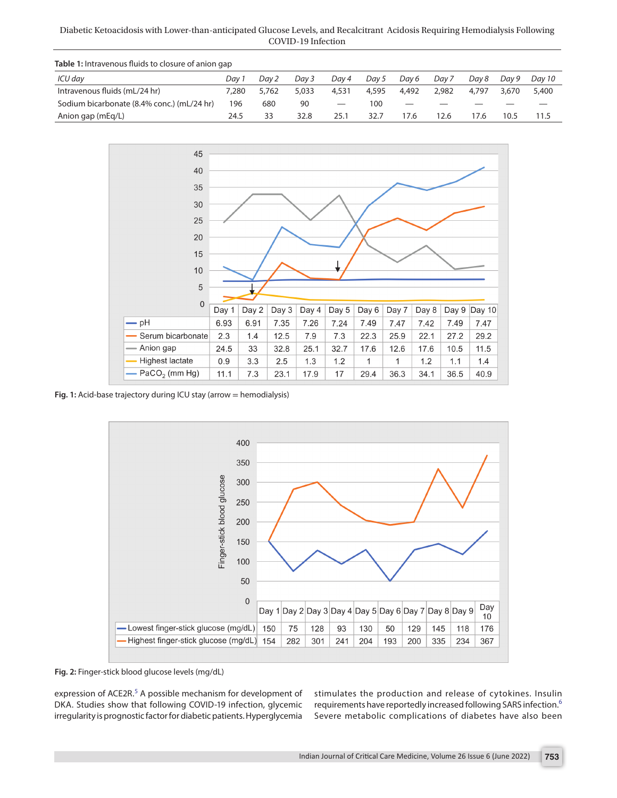Diabetic Ketoacidosis with Lower-than-anticipated Glucose Levels, and Recalcitrant Acidosis Requiring Hemodialysis Following COVID-19 Infection

<span id="page-1-0"></span>

| <b>Table 1:</b> Intravenous fluids to closure of anion gap |       |       |       |                 |       |       |       |       |       |        |
|------------------------------------------------------------|-------|-------|-------|-----------------|-------|-------|-------|-------|-------|--------|
| ICU day                                                    | Dav 1 | Dav 2 | Dav 3 | Dav 4           | Dav 5 | Dav 6 | Dav 7 | Dav 8 | Dav 9 | Dav 10 |
| Intravenous fluids (mL/24 hr)                              | 7.280 | 5,762 | 5.033 | 4,531           | 4,595 | 4,492 | 2,982 | 4.797 | 3.670 | 5,400  |
| Sodium bicarbonate (8.4% conc.) (mL/24 hr)                 | 196   | 680   | 90    | $\qquad \qquad$ | 100   |       |       |       |       |        |
| Anion gap (mEg/L)                                          | 24.5  | 33    | 32.8  | 25.1            | 32.7  | 17.6  | 2.6   | 7.6   | 10.5  | 11.5   |



**Fig. 1:** Acid-base trajectory during ICU stay (arrow = hemodialysis)



<span id="page-1-1"></span>**Fig. 2:** Finger-stick blood glucose levels (mg/dL)

expression of ACE2R.<sup>[5](#page-2-4)</sup> A possible mechanism for development of DKA. Studies show that following COVID-19 infection, glycemic irregularity is prognostic factor for diabetic patients. Hyperglycemia

stimulates the production and release of cytokines. Insulin requirements have reportedly increased following SARS infection.[6](#page-2-5) Severe metabolic complications of diabetes have also been